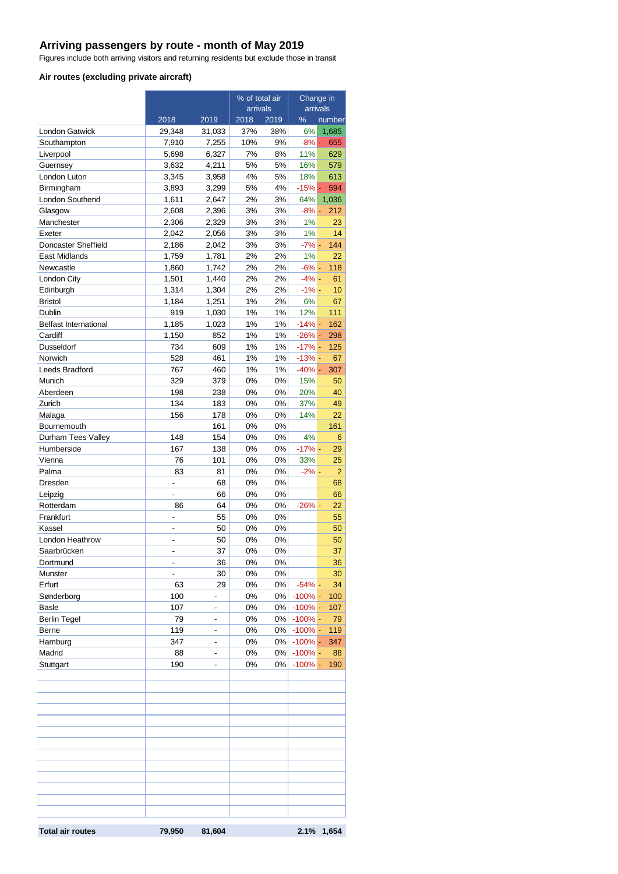## **Arriving passengers by route - month of May 2019**

Figures include both arriving visitors and returning residents but exclude those in transit

#### **Air routes (excluding private aircraft)**

|                              |                          |                          | % of total air |          | Change in      |                |
|------------------------------|--------------------------|--------------------------|----------------|----------|----------------|----------------|
|                              |                          |                          | arrivals       |          | arrivals       |                |
|                              | 2018                     | 2019                     | 2018           | 2019     | %              | number         |
| <b>London Gatwick</b>        | 29,348                   | 31,033                   | 37%            | 38%      | 6%             | 1,685          |
| Southampton                  | 7,910                    | 7,255                    | 10%            | 9%       | $-8% -$        | 655            |
| Liverpool                    | 5,698                    | 6,327                    | 7%             | 8%       | 11%            | 629            |
| Guernsey                     | 3,632                    | 4,211                    | 5%             | 5%       | 16%            | 579            |
| London Luton                 | 3,345                    | 3,958                    | 4%             | 5%       | 18%            | 613            |
| Birmingham                   | 3,893                    | 3,299                    | 5%<br>2%       | 4%<br>3% | $-15% -$       | 594<br>1,036   |
| London Southend<br>Glasgow   | 1,611<br>2,608           | 2,647<br>2,396           | 3%             | 3%       | 64%<br>$-8% -$ | 212            |
| Manchester                   | 2,306                    | 2,329                    | 3%             | 3%       | 1%             | 23             |
| Exeter                       | 2,042                    | 2,056                    | 3%             | 3%       | 1%             | 14             |
| Doncaster Sheffield          | 2,186                    | 2,042                    | 3%             | 3%       | $-7% -$        | 144            |
| East Midlands                | 1,759                    | 1,781                    | 2%             | 2%       | 1%             | 22             |
| Newcastle                    | 1,860                    | 1,742                    | 2%             | 2%       | $-6% -$        | 118            |
| London City                  | 1,501                    | 1,440                    | 2%             | 2%       | $-4%$ -        | 61             |
| Edinburgh                    | 1,314                    | 1,304                    | 2%             | 2%       | $-1% -$        | 10             |
| <b>Bristol</b>               | 1,184                    | 1,251                    | 1%             | 2%       | 6%             | 67             |
| Dublin                       | 919                      | 1,030                    | 1%             | 1%       | 12%            | 111            |
| <b>Belfast International</b> | 1,185                    | 1,023                    | 1%             | 1%       | $-14% -$       | 162            |
| Cardiff                      | 1,150                    | 852                      | 1%             | 1%       | $-26%$ -       | 298            |
| Dusseldorf                   | 734                      | 609                      | 1%             | 1%       | $-17% -$       | 125            |
| Norwich                      | 528                      | 461                      | 1%             | 1%       | $-13% -$       | 67             |
| Leeds Bradford               | 767                      | 460                      | 1%             | 1%       | $-40%$ -       | 307            |
| Munich                       | 329                      | 379                      | 0%             | 0%       | 15%            | 50             |
| Aberdeen                     | 198                      | 238                      | 0%             | 0%       | 20%            | 40             |
| Zurich                       | 134                      | 183                      | 0%             | 0%       | 37%            | 49             |
| Malaga                       | 156                      | 178                      | 0%             | 0%       | 14%            | 22             |
| Bournemouth                  |                          | 161                      | 0%             | 0%       |                | 161            |
| Durham Tees Valley           | 148                      | 154                      | 0%             | 0%       | 4%             | 6              |
| Humberside                   | 167                      | 138                      | 0%             | 0%       | $-17% -$       | 29             |
| Vienna                       | 76                       | 101                      | 0%             | 0%       | 33%            | 25             |
| Palma                        | 83                       | 81                       | 0%             | 0%       | $-2% -$        | $\overline{2}$ |
| Dresden                      |                          | 68                       | 0%             | 0%       |                | 68             |
| Leipzig                      |                          | 66                       | 0%             | $0\%$    |                | 66             |
| Rotterdam                    | 86                       | 64                       | 0%             | 0%       | $-26%$ -       | 22             |
| Frankfurt                    | $\overline{\phantom{a}}$ | 55                       | 0%             | $0\%$    |                | 55             |
| Kassel                       | ä,                       | 50                       | 0%             | 0%       |                | 50             |
| London Heathrow              | $\overline{\phantom{a}}$ | 50                       | 0%             | 0%       |                | 50             |
| Saarbrücken                  |                          | 37                       | 0%             | 0%       |                | 37             |
| Dortmund                     | -                        | 36                       | 0%             | 0%       |                | 36             |
| Munster                      | $\overline{\phantom{0}}$ | 30                       | 0%             | 0%       |                | 30             |
| Erfurt                       | 63                       | 29                       | 0%             | 0%       | $-54%$ -       | 34             |
| Sønderborg                   | 100                      | $\overline{\phantom{0}}$ | 0%             | 0%       | $-100%$ -      | 100            |
| <b>Basle</b>                 | 107                      | $\overline{\phantom{a}}$ | 0%             | $0\%$    | $-100\%$ -     | 107            |
| <b>Berlin Tegel</b>          | 79                       | -                        | 0%             | $0\%$    | $-100%$ -      | 79             |
| Berne                        | 119                      | -                        | 0%             | 0%       | $-100%$ -      | 119            |
| Hamburg                      | 347                      | $\blacksquare$           | 0%             | 0%       | $-100\%$ -     | 347            |
| Madrid                       | 88                       | $\overline{\phantom{0}}$ | 0%             | $0\%$    | $-100\%$ -     | 88             |
| Stuttgart                    | 190                      | L,                       | 0%             | 0%       | $-100\%$ -     | 190            |
|                              |                          |                          |                |          |                |                |
|                              |                          |                          |                |          |                |                |
|                              |                          |                          |                |          |                |                |
|                              |                          |                          |                |          |                |                |
|                              |                          |                          |                |          |                |                |
|                              |                          |                          |                |          |                |                |
|                              |                          |                          |                |          |                |                |
|                              |                          |                          |                |          |                |                |
|                              |                          |                          |                |          |                |                |
|                              |                          |                          |                |          |                |                |
|                              |                          |                          |                |          |                |                |
|                              |                          |                          |                |          |                |                |
|                              |                          |                          |                |          |                |                |
|                              |                          |                          |                |          |                |                |
| <b>Total air routes</b>      | 79,950                   | 81,604                   |                |          | 2.1%           | 1,654          |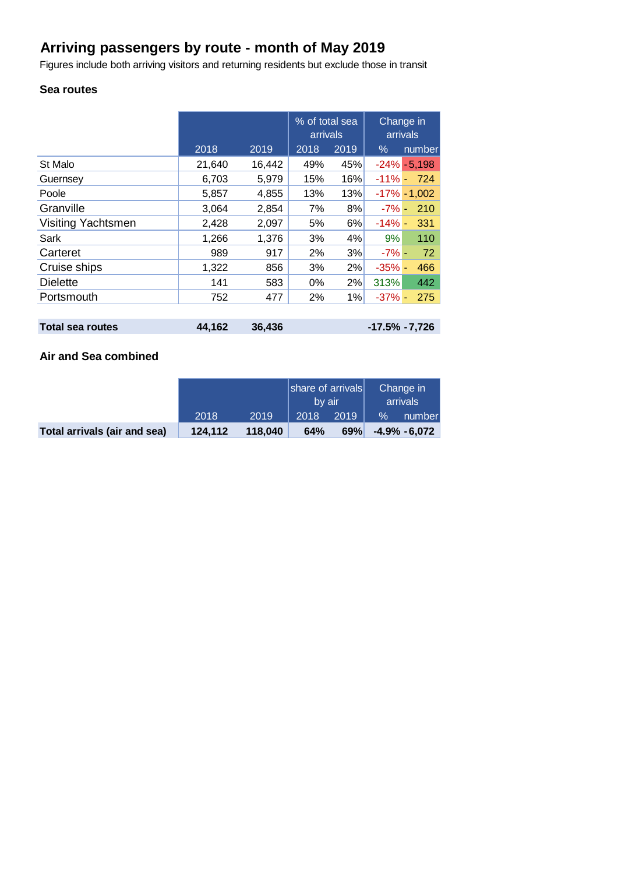# **Arriving passengers by route - month of May 2019**

Figures include both arriving visitors and returning residents but exclude those in transit

## **Sea routes**

|                           |        |        | % of total sea<br>arrivals |      | Change in<br>arrivals |                 |
|---------------------------|--------|--------|----------------------------|------|-----------------------|-----------------|
|                           | 2018   | 2019   | 2018                       | 2019 | $\%$                  | number          |
| St Malo                   | 21,640 | 16,442 | 49%                        | 45%  |                       | $-24\% - 5,198$ |
| Guernsey                  | 6,703  | 5,979  | 15%                        | 16%  |                       | $-11\% - 724$   |
| Poole                     | 5,857  | 4,855  | 13%                        | 13%  |                       | $-17\% - 1,002$ |
| Granville                 | 3,064  | 2,854  | 7%                         | 8%   | $-7\%$ -              | 210             |
| <b>Visiting Yachtsmen</b> | 2,428  | 2,097  | 5%                         | 6%   | $-14% -$              | 331             |
| Sark                      | 1,266  | 1,376  | 3%                         | 4%   | 9%                    | 110             |
| Carteret                  | 989    | 917    | 2%                         | 3%   | $-7\%$ -              | 72              |
| Cruise ships              | 1,322  | 856    | 3%                         | 2%   | $-35%$ -              | 466             |
| <b>Dielette</b>           | 141    | 583    | 0%                         | 2%   | 313%                  | 442             |
| Portsmouth                | 752    | 477    | 2%                         | 1%   | $-37\%$ -             | 275             |
|                           |        |        |                            |      |                       |                 |
| <b>Total sea routes</b>   | 44,162 | 36,436 |                            |      | $-17.5\% -7.726$      |                 |

# **Air and Sea combined**

|                              |         |         | share of arrivals<br>by air |      | Change in<br>arrivals |                 |
|------------------------------|---------|---------|-----------------------------|------|-----------------------|-----------------|
|                              | 2018    | 2019    | 2018                        | 2019 | $\%$                  | number          |
| Total arrivals (air and sea) | 124.112 | 118.040 | 64%                         | 69%  |                       | $-4.9\% -6.072$ |